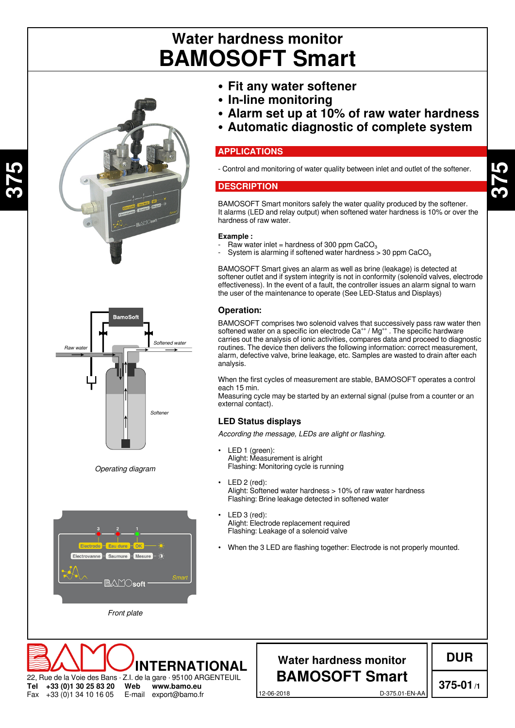# **BAMOSOFT Smart Water hardness monitor**



**375**

**Tel** Fax

+33 (0)1 34 10 16 05



*Operating diagram*



22, Rue de la Voie des Bans · Z.I. de la gare · 95100 ARGENTEUIL **+33 (0)1 30 25 83 20 Web www.bamo.eu INTERNATIONAL**

E-mail export@bamo.fr

- **• Fit any water softener**
- **• In-line monitoring**
- **• Alarm set up at 10% of raw water hardness**
- **• Automatic diagnostic of complete system**

#### **APPLICATIONS**

- Control and monitoring of water quality between inlet and outlet of the softener.

#### **DESCRIPTION**

BAMOSOFT Smart monitors safely the water quality produced by the softener. It alarms (LED and relay output) when softened water hardness is 10% or over the hardness of raw water.

#### **Example :**

- Raw water inlet = hardness of 300 ppm  $CaCO<sub>3</sub>$
- System is alarming if softened water hardness  $>$  30 ppm CaCO<sub>3</sub>

BAMOSOFT Smart gives an alarm as well as brine (leakage) is detected at softener outlet and if system integrity is not in conformity (solenoïd valves, electrode effectiveness). In the event of a fault, the controller issues an alarm signal to warn the user of the maintenance to operate (See LED-Status and Displays)

#### **Operation:**

BAMOSOFT comprises two solenoid valves that successively pass raw water then softened water on a specific ion electrode  $Ca^{++}$  /  $Mg^{++}$  . The specific hardware carries out the analysis of ionic activities, compares data and proceed to diagnostic routines. The device then delivers the following information: correct measurement, alarm, defective valve, brine leakage, etc. Samples are wasted to drain after each analysis.

When the first cycles of measurement are stable, BAMOSOFT operates a control each 15 min.

Measuring cycle may be started by an external signal (pulse from a counter or an external contact).

#### **LED Status displays**

*According the message, LEDs are alight or flashing.*

- LED 1 (green): Alight: Measurement is alright Flashing: Monitoring cycle is running
- LED 2 (red): Alight: Softened water hardness > 10% of raw water hardness Flashing: Brine leakage detected in softened water
- LED 3 (red): Alight: Electrode replacement required Flashing: Leakage of a solenoid valve
- When the 3 LED are flashing together: Electrode is not properly mounted.

## **Water hardness monitor BAMOSOFT Smart**

**DUR**

12-06-2018 D-375.01-EN-AA

**375-01/1**

**375**